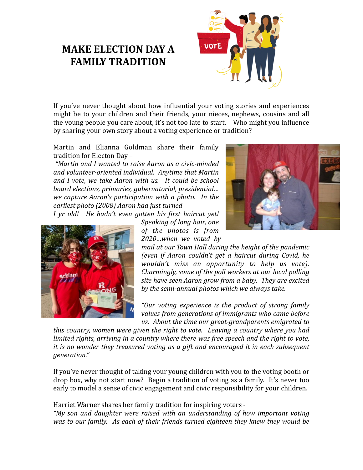## **MAKE ELECTION DAY A FAMILY TRADITION**



If you've never thought about how influential your voting stories and experiences might be to your children and their friends, your nieces, nephews, cousins and all the young people you care about, it's not too late to start. Who might you influence by sharing your own story about a voting experience or tradition?

Martin and Elianna Goldman share their family tradition for Electon Day -

 *"Martin and I wanted to raise Aaron as a civic-minded*  and volunteer-oriented individual. Anytime that Martin and I vote, we take Aaron with us. It could be school *board elections, primaries, gubernatorial, presidential… we capture Aaron's participation with a photo. In the* earliest photo (2008) Aaron had just turned

*I yr old! He hadn't even gotten his first haircut yet!*

*Speaking of long hair, one of the photos is from 2020…when we voted by* 





*mail at our Town Hall during the height of the pandemic (even if Aaron couldn't get a haircut during Covid, he wouldn't* miss an opportunity to help us vote). *Charmingly, some of the poll workers at our local polling* site have seen Aaron grow from a baby. They are excited by the semi-annual photos which we always take.

"Our voting experience is the product of strong family values from generations of *immigrants* who came before us. About the time our great-grandparents emigrated to

*this country, women were given the right to vote. Leaving a country where you had limited rights, arriving in a country where there was free speech and the right to vote, it* is no wonder they treasured voting as a gift and encouraged it in each subsequent *generation."*

If you've never thought of taking your young children with you to the voting booth or drop box, why not start now? Begin a tradition of voting as a family. It's never too early to model a sense of civic engagement and civic responsibility for your children.

Harriet Warner shares her family tradition for inspiring voters -

*"My son and daughter were raised with an understanding of how important voting was* to our family. As each of their friends turned eighteen they knew they would be